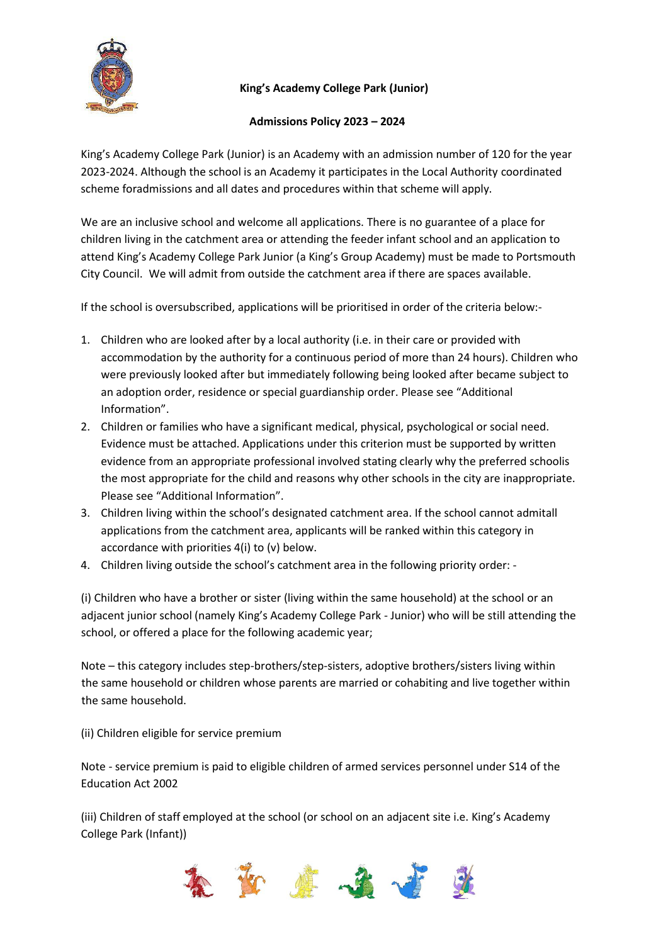

# **King's Academy College Park (Junior)**

### **Admissions Policy 2023 – 2024**

King's Academy College Park (Junior) is an Academy with an admission number of 120 for the year 2023-2024. Although the school is an Academy it participates in the Local Authority coordinated scheme foradmissions and all dates and procedures within that scheme will apply.

We are an inclusive school and welcome all applications. There is no guarantee of a place for children living in the catchment area or attending the feeder infant school and an application to attend King's Academy College Park Junior (a King's Group Academy) must be made to Portsmouth City Council. We will admit from outside the catchment area if there are spaces available.

If the school is oversubscribed, applications will be prioritised in order of the criteria below:-

- 1. Children who are looked after by a local authority (i.e. in their care or provided with accommodation by the authority for a continuous period of more than 24 hours). Children who were previously looked after but immediately following being looked after became subject to an adoption order, residence or special guardianship order. Please see "Additional Information".
- 2. Children or families who have a significant medical, physical, psychological or social need. Evidence must be attached. Applications under this criterion must be supported by written evidence from an appropriate professional involved stating clearly why the preferred schoolis the most appropriate for the child and reasons why other schools in the city are inappropriate. Please see "Additional Information".
- 3. Children living within the school's designated catchment area. If the school cannot admitall applications from the catchment area, applicants will be ranked within this category in accordance with priorities 4(i) to (v) below.
- 4. Children living outside the school's catchment area in the following priority order: -

(i) Children who have a brother or sister (living within the same household) at the school or an adjacent junior school (namely King's Academy College Park - Junior) who will be still attending the school, or offered a place for the following academic year;

Note – this category includes step-brothers/step-sisters, adoptive brothers/sisters living within the same household or children whose parents are married or cohabiting and live together within the same household.

(ii) Children eligible for service premium

Note - service premium is paid to eligible children of armed services personnel under S14 of the Education Act 2002

(iii) Children of staff employed at the school (or school on an adjacent site i.e. King's Academy College Park (Infant))

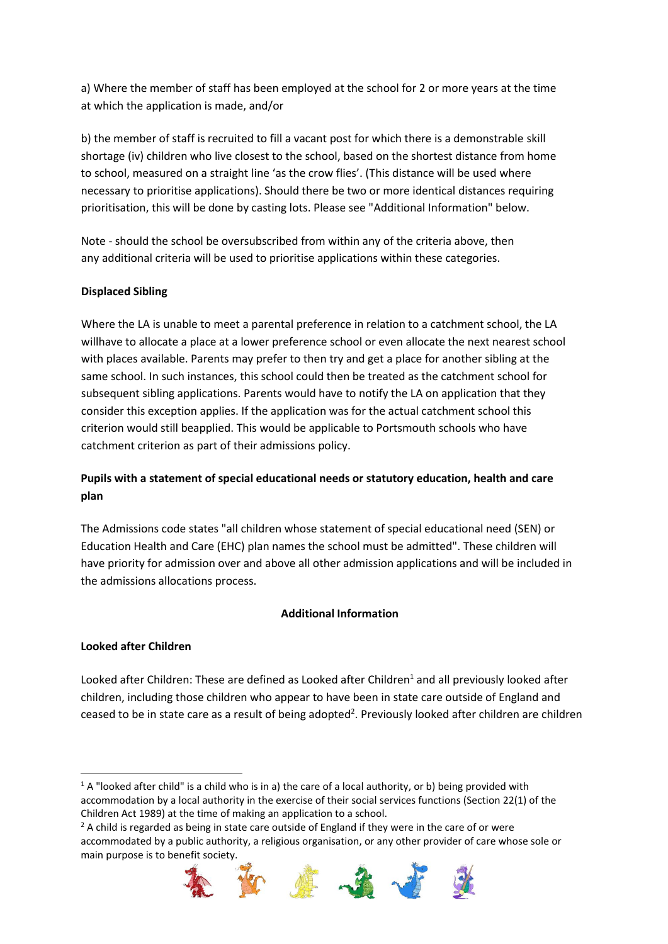a) Where the member of staff has been employed at the school for 2 or more years at the time at which the application is made, and/or

b) the member of staff is recruited to fill a vacant post for which there is a demonstrable skill shortage (iv) children who live closest to the school, based on the shortest distance from home to school, measured on a straight line 'as the crow flies'. (This distance will be used where necessary to prioritise applications). Should there be two or more identical distances requiring prioritisation, this will be done by casting lots. Please see "Additional Information" below.

Note - should the school be oversubscribed from within any of the criteria above, then any additional criteria will be used to prioritise applications within these categories.

# **Displaced Sibling**

Where the LA is unable to meet a parental preference in relation to a catchment school, the LA willhave to allocate a place at a lower preference school or even allocate the next nearest school with places available. Parents may prefer to then try and get a place for another sibling at the same school. In such instances, this school could then be treated as the catchment school for subsequent sibling applications. Parents would have to notify the LA on application that they consider this exception applies. If the application was for the actual catchment school this criterion would still beapplied. This would be applicable to Portsmouth schools who have catchment criterion as part of their admissions policy.

# **Pupils with a statement of special educational needs or statutory education, health and care plan**

The Admissions code states "all children whose statement of special educational need (SEN) or Education Health and Care (EHC) plan names the school must be admitted". These children will have priority for admission over and above all other admission applications and will be included in the admissions allocations process.

### **Additional Information**

### **Looked after Children**

 $\overline{a}$ 

Looked after Children: These are defined as Looked after Children<sup>1</sup> and all previously looked after children, including those children who appear to have been in state care outside of England and ceased to be in state care as a result of being adopted<sup>2</sup>. Previously looked after children are children

 $2$  A child is regarded as being in state care outside of England if they were in the care of or were accommodated by a public authority, a religious organisation, or any other provider of care whose sole or main purpose is to benefit society.



 $1$  A "looked after child" is a child who is in a) the care of a local authority, or b) being provided with accommodation by a local authority in the exercise of their social services functions (Section 22(1) of the Children Act 1989) at the time of making an application to a school.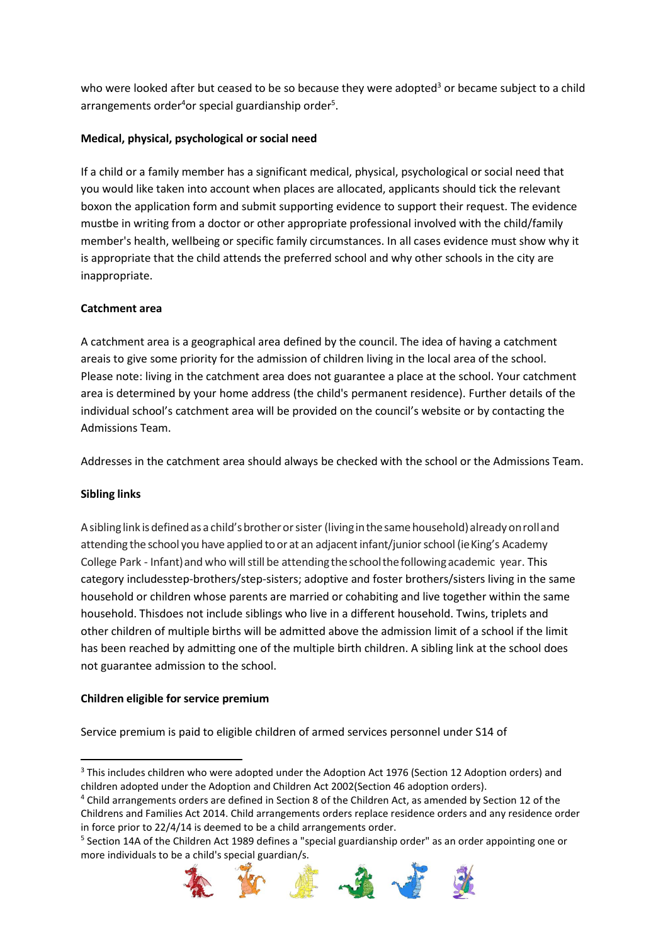who were looked after but ceased to be so because they were adopted<sup>3</sup> or became subject to a child arrangements order ${}^{4}$ or special guardianship order ${}^{5}$ .

# **Medical, physical, psychological or social need**

If a child or a family member has a significant medical, physical, psychological or social need that you would like taken into account when places are allocated, applicants should tick the relevant boxon the application form and submit supporting evidence to support their request. The evidence mustbe in writing from a doctor or other appropriate professional involved with the child/family member's health, wellbeing or specific family circumstances. In all cases evidence must show why it is appropriate that the child attends the preferred school and why other schools in the city are inappropriate.

### **Catchment area**

A catchment area is a geographical area defined by the council. The idea of having a catchment areais to give some priority for the admission of children living in the local area of the school. Please note: living in the catchment area does not guarantee a place at the school. Your catchment area is determined by your home address (the child's permanent residence). Further details of the individual school's catchment area will be provided on the council's website or by contacting the Admissions Team.

Addresses in the catchment area should always be checked with the school or the Admissions Team.

### **Sibling links**

A sibling link is defined as a child's brother or sister (living in the same household) already on roll and attending the school you have applied to or at an adjacent infant/junior school (ie King's Academy College Park - Infant)and who willstill be attendingtheschoolthefollowingacademic year. This category includesstep-brothers/step-sisters; adoptive and foster brothers/sisters living in the same household or children whose parents are married or cohabiting and live together within the same household. Thisdoes not include siblings who live in a different household. Twins, triplets and other children of multiple births will be admitted above the admission limit of a school if the limit has been reached by admitting one of the multiple birth children. A sibling link at the school does not guarantee admission to the school.

### **Children eligible for service premium**

Service premium is paid to eligible children of armed services personnel under S14 of

<sup>&</sup>lt;sup>5</sup> Section 14A of the Children Act 1989 defines a "special guardianship order" as an order appointing one or more individuals to be a child's special guardian/s.



 $\overline{a}$ <sup>3</sup> This includes children who were adopted under the Adoption Act 1976 (Section 12 Adoption orders) and children adopted under the Adoption and Children Act 2002(Section 46 adoption orders).

<sup>4</sup> Child arrangements orders are defined in Section 8 of the Children Act, as amended by Section 12 of the Childrens and Families Act 2014. Child arrangements orders replace residence orders and any residence order in force prior to 22/4/14 is deemed to be a child arrangements order.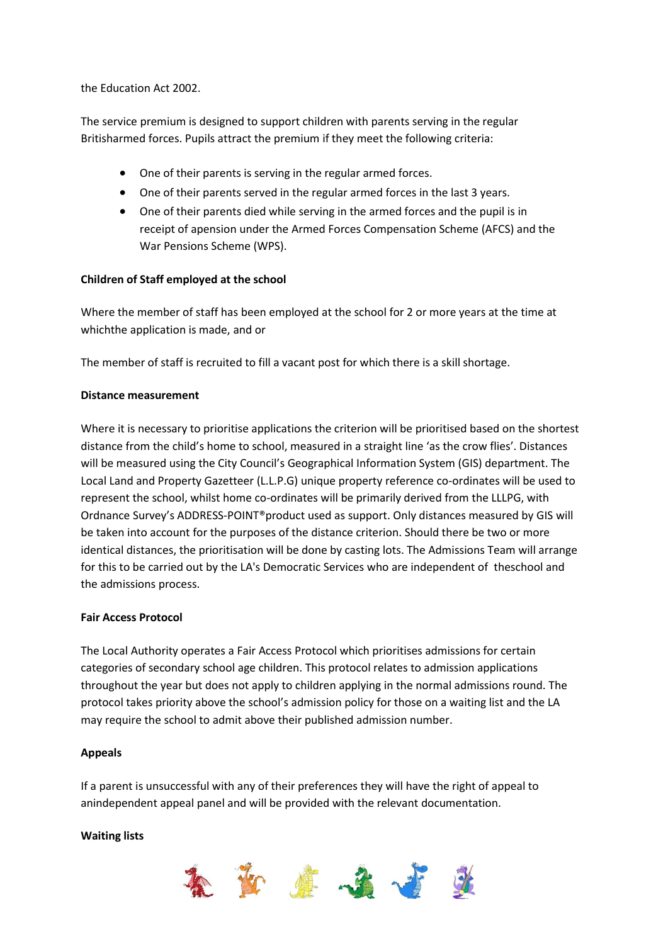the Education Act 2002.

The service premium is designed to support children with parents serving in the regular Britisharmed forces. Pupils attract the premium if they meet the following criteria:

- One of their parents is serving in the regular armed forces.
- One of their parents served in the regular armed forces in the last 3 years.
- One of their parents died while serving in the armed forces and the pupil is in receipt of apension under the Armed Forces Compensation Scheme (AFCS) and the War Pensions Scheme (WPS).

### **Children of Staff employed at the school**

Where the member of staff has been employed at the school for 2 or more years at the time at whichthe application is made, and or

The member of staff is recruited to fill a vacant post for which there is a skill shortage.

#### **Distance measurement**

Where it is necessary to prioritise applications the criterion will be prioritised based on the shortest distance from the child's home to school, measured in a straight line 'as the crow flies'. Distances will be measured using the City Council's Geographical Information System (GIS) department. The Local Land and Property Gazetteer (L.L.P.G) unique property reference co-ordinates will be used to represent the school, whilst home co-ordinates will be primarily derived from the LLLPG, with Ordnance Survey's ADDRESS-POINT®product used as support. Only distances measured by GIS will be taken into account for the purposes of the distance criterion. Should there be two or more identical distances, the prioritisation will be done by casting lots. The Admissions Team will arrange for this to be carried out by the LA's Democratic Services who are independent of theschool and the admissions process.

#### **Fair Access Protocol**

The Local Authority operates a Fair Access Protocol which prioritises admissions for certain categories of secondary school age children. This protocol relates to admission applications throughout the year but does not apply to children applying in the normal admissions round. The protocol takes priority above the school's admission policy for those on a waiting list and the LA may require the school to admit above their published admission number.

#### **Appeals**

If a parent is unsuccessful with any of their preferences they will have the right of appeal to anindependent appeal panel and will be provided with the relevant documentation.

#### **Waiting lists**